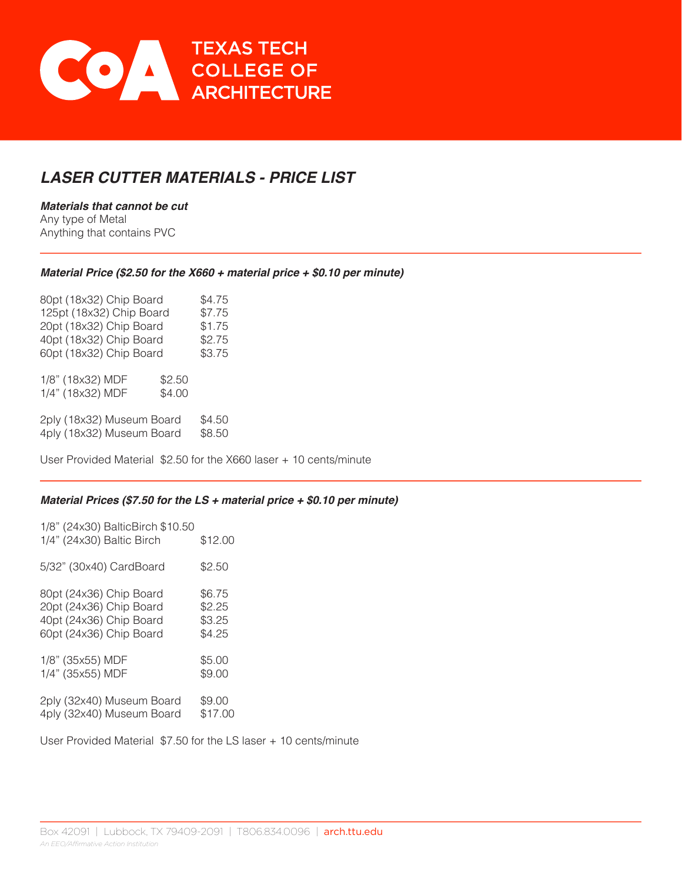

# *LASER CUTTER MATERIALS - PRICE LIST*

*Materials that cannot be cut* Any type of Metal Anything that contains PVC

### *Material Price (\$2.50 for the X660 + material price + \$0.10 per minute)*

| 80pt (18x32) Chip Board  | \$4.75 |
|--------------------------|--------|
| 125pt (18x32) Chip Board | \$7.75 |
| 20pt (18x32) Chip Board  | \$1.75 |
| 40pt (18x32) Chip Board  | \$2.75 |
| 60pt (18x32) Chip Board  | \$3.75 |
|                          |        |

1/8" (18x32) MDF \$2.50 1/4" (18x32) MDF \$4.00

2ply (18x32) Museum Board \$4.50 4ply (18x32) Museum Board \$8.50

User Provided Material \$2.50 for the X660 laser + 10 cents/minute

### *Material Prices (\$7.50 for the LS + material price + \$0.10 per minute)*

| 1/8" (24x30) BalticBirch \$10.50<br>1/4" (24x30) Baltic Birch | \$12.00 |
|---------------------------------------------------------------|---------|
| 5/32" (30x40) CardBoard                                       | \$2.50  |
| 80pt (24x36) Chip Board                                       | \$6.75  |
| 20pt (24x36) Chip Board                                       | \$2.25  |
| 40pt (24x36) Chip Board                                       | \$3.25  |
| 60pt (24x36) Chip Board                                       | \$4.25  |
| 1/8" (35x55) MDF                                              | \$5.00  |
| 1/4" (35x55) MDF                                              | \$9.00  |
| 2ply (32x40) Museum Board                                     | \$9.00  |
| 4ply (32x40) Museum Board                                     | \$17.00 |

User Provided Material \$7.50 for the LS laser + 10 cents/minute